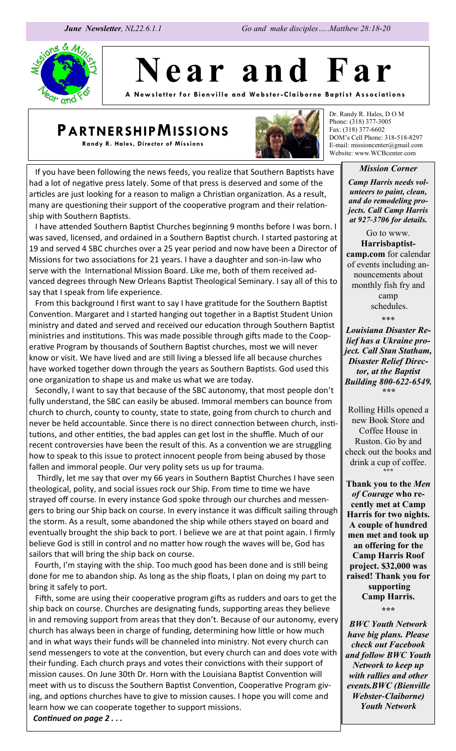

**N e a r a n d F a r**

**A New sl ett er for Bi envill e a nd We bste r -Clai borne Ba pti st Associ ations**

# **PARTNERSHIPMISSIONS**

**Randy R. Hales, Director of Missions**



Dr. Randy R. Hales, D O M Phone: (318) 377-3005 Fax: (318) 377-6602 DOM's Cell Phone: 318-518-8297 E-mail: missioncenter@gmail.com Website: www.WCBcenter.com

#### *Mission Corner*

*Camp Harris needs volunteers to paint, clean, and do remodeling projects. Call Camp Harris at 927-3706 for details.* 

Go to www. **Harrisbaptistcamp.com** for calendar of events including announcements about monthly fish fry and camp schedules.

\*\*\*

*Louisiana Disaster Relief has a Ukraine project. Call Stan Statham, Disaster Relief Director, at the Baptist Building 800-622-6549. \*\*\**

Rolling Hills opened a new Book Store and Coffee House in Ruston. Go by and check out the books and drink a cup of coffee. **\*\*\***

**Thank you to the** *Men of Courage* **who recently met at Camp Harris for two nights. A couple of hundred men met and took up an offering for the Camp Harris Roof project. \$32,000 was raised! Thank you for supporting Camp Harris. \*\*\***

*BWC Youth Network have big plans. Please check out Facebook and follow BWC Youth Network to keep up with rallies and other events.BWC (Bienville Webster-Claiborne) Youth Network*

 If you have been following the news feeds, you realize that Southern Baptists have had a lot of negative press lately. Some of that press is deserved and some of the articles are just looking for a reason to malign a Christian organization. As a result, many are questioning their support of the cooperative program and their relationship with Southern Baptists.

 I have attended Southern Baptist Churches beginning 9 months before I was born. I was saved, licensed, and ordained in a Southern Baptist church. I started pastoring at 19 and served 4 SBC churches over a 25 year period and now have been a Director of Missions for two associations for 21 years. I have a daughter and son-in-law who serve with the International Mission Board. Like me, both of them received advanced degrees through New Orleans Baptist Theological Seminary. I say all of this to say that I speak from life experience.

 From this background I first want to say I have gratitude for the Southern Baptist Convention. Margaret and I started hanging out together in a Baptist Student Union ministry and dated and served and received our education through Southern Baptist ministries and institutions. This was made possible through gifts made to the Cooperative Program by thousands of Southern Baptist churches, most we will never know or visit. We have lived and are still living a blessed life all because churches have worked together down through the years as Southern Baptists. God used this one organization to shape us and make us what we are today.

 Secondly, I want to say that because of the SBC autonomy, that most people don't fully understand, the SBC can easily be abused. Immoral members can bounce from church to church, county to county, state to state, going from church to church and never be held accountable. Since there is no direct connection between church, institutions, and other entities, the bad apples can get lost in the shuffle. Much of our recent controversies have been the result of this. As a convention we are struggling how to speak to this issue to protect innocent people from being abused by those fallen and immoral people. Our very polity sets us up for trauma.

 Thirdly, let me say that over my 66 years in Southern Baptist Churches I have seen theological, polity, and social issues rock our Ship. From time to time we have strayed off course. In every instance God spoke through our churches and messengers to bring our Ship back on course. In every instance it was difficult sailing through the storm. As a result, some abandoned the ship while others stayed on board and eventually brought the ship back to port. I believe we are at that point again. I firmly believe God is still in control and no matter how rough the waves will be, God has sailors that will bring the ship back on course.

Fourth, I'm staying with the ship. Too much good has been done and is still being done for me to abandon ship. As long as the ship floats, I plan on doing my part to bring it safely to port.

 Fifth, some are using their cooperative program gifts as rudders and oars to get the ship back on course. Churches are designating funds, supporting areas they believe in and removing support from areas that they don't. Because of our autonomy, every church has always been in charge of funding, determining how little or how much and in what ways their funds will be channeled into ministry. Not every church can send messengers to vote at the convention, but every church can and does vote with their funding. Each church prays and votes their convictions with their support of mission causes. On June 30th Dr. Horn with the Louisiana Baptist Convention will meet with us to discuss the Southern Baptist Convention, Cooperative Program giving, and options churches have to give to mission causes. I hope you will come and learn how we can cooperate together to support missions.

*Continued on page 2 . . .*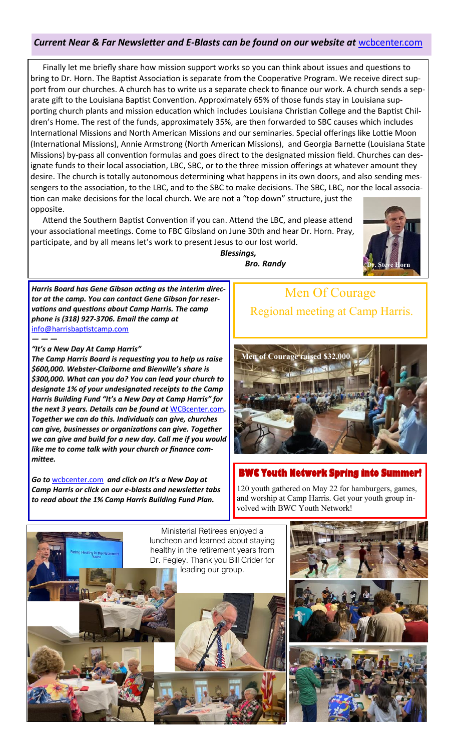## *Current Near & Far Newsletter and E-Blasts can be found on our website at* [wcbcenter.com](http://wcbcenter.com)

 Finally let me briefly share how mission support works so you can think about issues and questions to bring to Dr. Horn. The Baptist Association is separate from the Cooperative Program. We receive direct support from our churches. A church has to write us a separate check to finance our work. A church sends a separate gift to the Louisiana Baptist Convention. Approximately 65% of those funds stay in Louisiana supporting church plants and mission education which includes Louisiana Christian College and the Baptist Children's Home. The rest of the funds, approximately 35%, are then forwarded to SBC causes which includes International Missions and North American Missions and our seminaries. Special offerings like Lottie Moon (International Missions), Annie Armstrong (North American Missions), and Georgia Barnette (Louisiana State Missions) by-pass all convention formulas and goes direct to the designated mission field. Churches can designate funds to their local association, LBC, SBC, or to the three mission offerings at whatever amount they desire. The church is totally autonomous determining what happens in its own doors, and also sending messengers to the association, to the LBC, and to the SBC to make decisions. The SBC, LBC, nor the local association can make decisions for the local church. We are not a "top down" structure, just the opposite.

 Attend the Southern Baptist Convention if you can. Attend the LBC, and please attend your associational meetings. Come to FBC Gibsland on June 30th and hear Dr. Horn. Pray, participate, and by all means let's work to present Jesus to our lost world.



 *Bro. Randy*

*Blessings,* 

*Harris Board has Gene Gibson acting as the interim director at the camp. You can contact Gene Gibson for reservations and questions about Camp Harris. The camp phone is (318) 927-3706. Email the camp at*  [info@harrisbaptistcamp.com](mailto:info@harrisbaptist.com)

#### *"It's a New Day At Camp Harris"*

*— — —*

*The Camp Harris Board is requesting you to help us raise \$600,000. Webster-Claiborne and Bienville's share is \$300,000. What can you do? You can lead your church to designate 1% of your undesignated receipts to the Camp Harris Building Fund "It's a New Day at Camp Harris" for the next 3 years. Details can be found at* [WCBcenter.com](http://WCBcenter.com)*. Together we can do this. Individuals can give, churches can give, businesses or organizations can give. Together we can give and build for a new day. Call me if you would like me to come talk with your church or finance committee.*

*Go to* [wcbcenter.com](http://wcbcenter.com) *and click on It's a New Day at Camp Harris or click on our e-blasts and newsletter tabs to read about the 1% Camp Harris Building Fund Plan.*

# Men Of Courage Regional meeting at Camp Harris.



### **Broad Youth Network Spring into Summer!**

120 youth gathered on May 22 for hamburgers, games, and worship at Camp Harris. Get your youth group involved with BWC Youth Network!